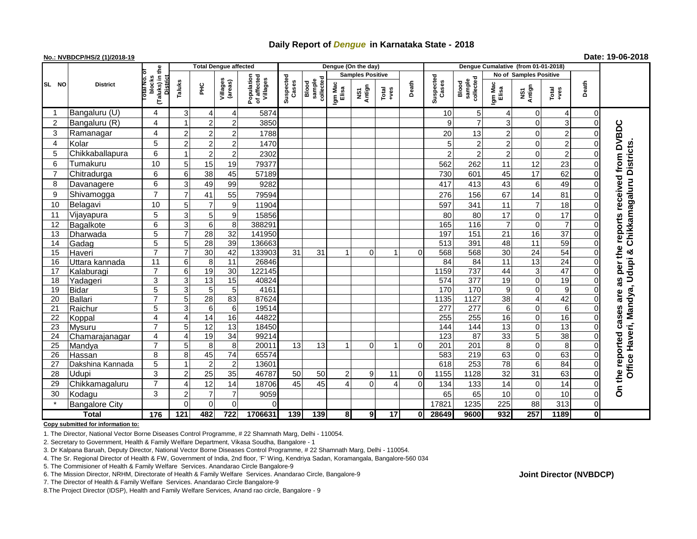## **Daily Report of** *Dengue* **in Karnataka State - 2018**

## **No.: NVBDCP/HS/2 (1)/2018-19**

**Date: 19-06-2018**

|                | <b>District</b>         | (Taluks) in the<br>blocks<br>District<br>oral No | <b>Total Dengue affected</b> |                 |                          |                                       |                    |                              |                  | Dengue (On the day)            |               |          |                    |                              |                        |                   |                 |                      |                                     |
|----------------|-------------------------|--------------------------------------------------|------------------------------|-----------------|--------------------------|---------------------------------------|--------------------|------------------------------|------------------|--------------------------------|---------------|----------|--------------------|------------------------------|------------------------|-------------------|-----------------|----------------------|-------------------------------------|
|                |                         |                                                  |                              |                 |                          |                                       | Suspected<br>Cases |                              |                  | <b>Samples Positive</b>        |               |          |                    |                              | No of Samples Positive |                   |                 |                      |                                     |
| SL NO          |                         |                                                  | Taluks                       | 꾿               | Villages<br>(areas)      | Population<br>of affected<br>Villages |                    | collected<br>sample<br>Blood | Igm Mac<br>Elisa | Antign<br>$\mathbf{\tilde{s}}$ | Total<br>+ves | Death    | Suspected<br>Cases | collected<br>sample<br>Blood | Igm Mac<br>Elisa       | NS1<br>Antign     | Total<br>+ves   | Death                |                                     |
| -1             | Bangaluru (U)           | 4                                                | 3                            |                 | $\overline{\mathcal{L}}$ | 5874                                  |                    |                              |                  |                                |               |          | 10                 | 5                            | $\overline{4}$         | 0                 | 4               | $\mathbf 0$          |                                     |
| $\overline{2}$ | Bangaluru (R)           | 4                                                |                              | $\overline{2}$  | $\overline{2}$           | 3850                                  |                    |                              |                  |                                |               |          | 9                  | $\overline{7}$               | 3                      | $\Omega$          | 3               | $\Omega$             |                                     |
| 3              | Ramanagar               | 4                                                |                              | 2               | $\overline{2}$           | 1788                                  |                    |                              |                  |                                |               |          | 20                 | 13                           | $\overline{2}$         | $\mathbf 0$       | $\overline{c}$  | $\Omega$             | <b>DVBDC</b>                        |
| 4              | Kolar                   | 5                                                | 2                            | $\overline{c}$  | $\overline{2}$           | 1470                                  |                    |                              |                  |                                |               |          | 5                  | 2                            | $\overline{c}$         | 0                 | $\overline{c}$  | $\Omega$             |                                     |
| 5              | Chikkaballapura         | 6                                                |                              | $\overline{2}$  | $\overline{2}$           | 2302                                  |                    |                              |                  |                                |               |          | $\overline{a}$     | $\overline{2}$               | $\overline{c}$         | 0                 | $\overline{2}$  | $\Omega$             | Chikkamagaluru Districts            |
| 6              | Tumakuru                | 10                                               | 5                            | 15              | 19                       | 79377                                 |                    |                              |                  |                                |               |          | 562                | 262                          | 11                     | 12                | 23              | $\Omega$             | from                                |
| 7              | Chitradurga             | $6\phantom{1}6$                                  | 6                            | 38              | 45                       | 57189                                 |                    |                              |                  |                                |               |          | 730                | 601                          | 45                     | 17                | 62              | $\Omega$             |                                     |
| 8              | Davanagere              | $6\phantom{1}6$                                  | 3                            | 49              | 99                       | 9282                                  |                    |                              |                  |                                |               |          | 417                | 413                          | 43                     | 6                 | 49              | $\Omega$             |                                     |
| 9              | Shivamogga              | $\overline{7}$                                   |                              | 41              | 55                       | 79594                                 |                    |                              |                  |                                |               |          | 276                | 156                          | 67                     | 14                | 81              | 0                    |                                     |
| 10             | Belagavi                | 10                                               |                              |                 | 9                        | 11904                                 |                    |                              |                  |                                |               |          | 597                | 341                          | 11                     | $\overline{7}$    | 18              | $\Omega$             | received                            |
| 11             | Vijayapura              | 5                                                | 3                            | 5               | 9                        | 15856                                 |                    |                              |                  |                                |               |          | 80                 | 80                           | 17                     | 0                 | 17              | $\Omega$             |                                     |
| 12             | Bagalkote               | 6                                                | 3                            | 6               | 8                        | 388291                                |                    |                              |                  |                                |               |          | 165                | 116                          | $\overline{7}$         | 0                 | $\overline{7}$  | $\Omega$             | reports                             |
| 13             | Dharwada                | $\overline{5}$                                   |                              | $\overline{28}$ | $\overline{32}$          | 141950                                |                    |                              |                  |                                |               |          | 197                | 151                          | $\overline{21}$        | 16                | $\overline{37}$ | $\Omega$             |                                     |
| 14             | Gadag                   | $\overline{5}$                                   | 5                            | 28              | 39                       | 136663                                |                    |                              |                  |                                |               |          | 513                | 391                          | 48                     | 11                | 59              | $\Omega$             |                                     |
| 15             | Haveri                  | $\overline{7}$                                   |                              | 30              | 42                       | 133903                                | 31                 | 31                           | 1                | $\Omega$                       | 1             | $\Omega$ | 568                | 568                          | 30                     | $\overline{24}$   | 54              | $\Omega$             | the<br>න්                           |
| 16             | Uttara kannada          | $\overline{11}$                                  | 6                            | 8               | $\overline{11}$          | 26846                                 |                    |                              |                  |                                |               |          | 84                 | 84                           | $\overline{11}$        | 13                | $\overline{24}$ | $\mathbf 0$          | per                                 |
| 17             | Kalaburagi              | $\overline{7}$                                   | 6                            | 19              | 30                       | 122145                                |                    |                              |                  |                                |               |          | 1159               | 737                          | 44                     | 3                 | 47              | $\mathbf 0$          |                                     |
| 18             | Yadageri                | 3                                                | 3                            | $\overline{13}$ | 15                       | 40824                                 |                    |                              |                  |                                |               |          | 574                | 377                          | 19                     | 0                 | $\overline{19}$ | $\Omega$             | w<br>ω                              |
| 19             | <b>Bidar</b>            | $\overline{5}$                                   | 3                            | 5               | 5                        | 4161                                  |                    |                              |                  |                                |               |          | 170                | 170                          | 9                      | $\Omega$          | 9               | $\Omega$<br>$\Omega$ | are                                 |
| 20             | Ballari                 | $\overline{7}$                                   | 5                            | 28              | 83                       | 87624                                 |                    |                              |                  |                                |               |          | 1135               | 1127                         | $\overline{38}$        | 4                 | 42              |                      |                                     |
| 21<br>22       | Raichur                 | 5<br>4                                           | 3<br>$\Delta$                | 6<br>14         | 6<br>16                  | 19514<br>44822                        |                    |                              |                  |                                |               |          | 277<br>255         | 277<br>255                   | 6<br>16                | $\mathbf 0$<br>٥l | 6<br>16         | $\Omega$<br>$\Omega$ |                                     |
| 23             | Koppal<br><b>Mysuru</b> | $\overline{7}$                                   | 5                            | $\overline{12}$ | $\overline{13}$          | 18450                                 |                    |                              |                  |                                |               |          | 144                | 144                          | 13                     | ٥l                | $\overline{13}$ | $\Omega$             | cases                               |
| 24             | Chamarajanagar          | 4                                                | Δ                            | 19              | $\overline{34}$          | 99214                                 |                    |                              |                  |                                |               |          | 123                | 87                           | $\overline{33}$        | 5                 | $\overline{38}$ | $\Omega$             |                                     |
| 25             | Mandya                  | $\overline{7}$                                   | 5                            | 8               | 8                        | 20011                                 | 13                 | 13                           | 1                | 0                              | 1             | 0        | $\overline{201}$   | 201                          | 8                      | 0                 | 8               | $\Omega$             |                                     |
| 26             | <b>Hassan</b>           | 8                                                | 8                            | 45              | $\overline{74}$          | 65574                                 |                    |                              |                  |                                |               |          | 583                | 219                          | 63                     | $\overline{0}$    | 63              | $\Omega$             | reported                            |
| 27             | Dakshina Kannada        | $\overline{5}$                                   |                              | $\overline{2}$  | $\overline{c}$           | 13601                                 |                    |                              |                  |                                |               |          | 618                | 253                          | $\overline{78}$        | 6                 | 84              | $\Omega$             |                                     |
| 28             | Udupi                   | $\overline{3}$                                   |                              | 25              | 35                       | 46787                                 | 50                 | 50                           | 2                | 9                              | 11            | 0        | 1155               | 1128                         | 32                     | 31                | 63              | $\Omega$             | Office Haveri, Mandya, Udupi<br>the |
| 29             | Chikkamagaluru          | $\overline{7}$                                   |                              | 12              | 14                       | 18706                                 | 45                 | 45                           | $\overline{4}$   | $\Omega$                       | 4             | $\Omega$ | 134                | 133                          | 14                     | 0                 | 14              | $\Omega$             |                                     |
| 30             | Kodagu                  | 3                                                | 2                            | $\overline{7}$  | $\overline{7}$           | 9059                                  |                    |                              |                  |                                |               |          | 65                 | 65                           | 10                     | $\mathbf 0$       | 10              | $\Omega$             | å                                   |
|                | <b>Bangalore City</b>   |                                                  | $\Omega$                     | $\Omega$        | $\Omega$                 | C                                     |                    |                              |                  |                                |               |          | 17821              | 1235                         | 225                    | 88                | 313             | $\mathbf 0$          |                                     |
| <b>Total</b>   |                         | 176                                              | 121                          | 482             | 722                      | 1706631                               | 139                | 139                          | 8 <sup>1</sup>   | 9 <sub>l</sub>                 | 17            | 0        | 28649              | 9600                         | 932                    | 257               | 1189            | $\mathbf{0}$         |                                     |

**Copy submitted for information to:**

1. The Director, National Vector Borne Diseases Control Programme, # 22 Shamnath Marg, Delhi - 110054.

2. Secretary to Government, Health & Family Welfare Department, Vikasa Soudha, Bangalore - 1

3. Dr Kalpana Baruah, Deputy Director, National Vector Borne Diseases Control Programme, # 22 Shamnath Marg, Delhi - 110054.

4. The Sr. Regional Director of Health & FW, Government of India, 2nd floor, 'F' Wing, Kendriya Sadan, Koramangala, Bangalore-560 034

5. The Commisioner of Health & Family Welfare Services. Anandarao Circle Bangalore-9

6. The Mission Director, NRHM, Directorate of Health & Family Welfare Services. Anandarao Circle, Bangalore-9

7. The Director of Health & Family Welfare Services. Anandarao Circle Bangalore-9

8.The Project Director (IDSP), Health and Family Welfare Services, Anand rao circle, Bangalore - 9

**Joint Director (NVBDCP)**